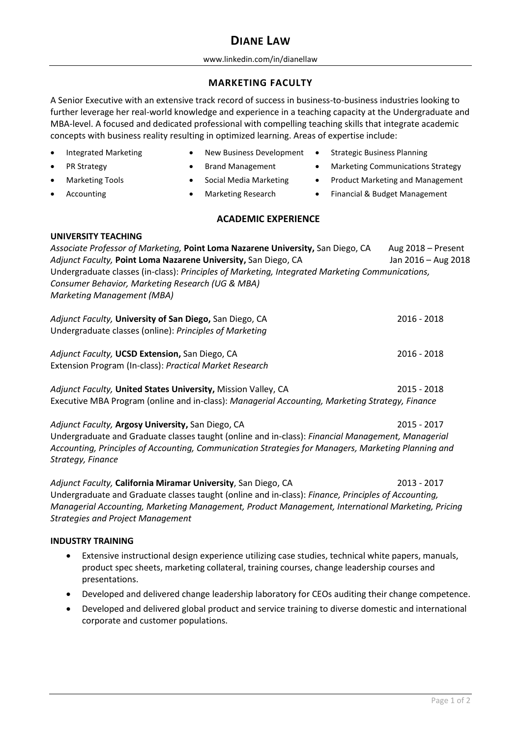# **DIANE LAW**

#### www.linkedin.com/in/dianellaw

## **MARKETING FACULTY**

A Senior Executive with an extensive track record of success in business-to-business industries looking to further leverage her real-world knowledge and experience in a teaching capacity at the Undergraduate and MBA-level. A focused and dedicated professional with compelling teaching skills that integrate academic concepts with business reality resulting in optimized learning. Areas of expertise include:

**PR Strategy** • Brand Management • Marketing Communications Strategy

- Integrated Marketing New Business Development Strategic Business Planning
- 
- 

- - Marketing Tools Social Media Marketing Product Marketing and Management
		-
- 
- Accounting Marketing Research Financial & Budget Management
	- **ACADEMIC EXPERIENCE**

### **UNIVERSITY TEACHING**

Associate Professor of Marketing, Point Loma Nazarene University, San Diego, CA Aug 2018 – Present Adjunct Faculty, **Point Loma Nazarene University,** San Diego, CA Jan 2016 – Aug 2018 Undergraduate classes (in-class): *Principles of Marketing, Integrated Marketing Communications, Consumer Behavior, Marketing Research (UG & MBA) Marketing Management (MBA)*

*Adjunct Faculty,* **University of San Diego,** San Diego, CA 2016 - 2018 Undergraduate classes (online): *Principles of Marketing Adjunct Faculty,* **UCSD Extension,** San Diego, CA 2016 - 2018

Extension Program (In-class): *Practical Market Research*

*Adjunct Faculty,* **United States University,** Mission Valley, CA 2015 - 2018 Executive MBA Program (online and in-class): *Managerial Accounting, Marketing Strategy, Finance*

*Adjunct Faculty,* **Argosy University,** San Diego, CA 2015 - 2017 Undergraduate and Graduate classes taught (online and in-class): *Financial Management, Managerial Accounting, Principles of Accounting, Communication Strategies for Managers, Marketing Planning and Strategy, Finance*

*Adjunct Faculty,* **California Miramar University**, San Diego, CA 2013 - 2017 Undergraduate and Graduate classes taught (online and in-class): *Finance, Principles of Accounting, Managerial Accounting, Marketing Management, Product Management, International Marketing, Pricing Strategies and Project Management*

## **INDUSTRY TRAINING**

- Extensive instructional design experience utilizing case studies, technical white papers, manuals, product spec sheets, marketing collateral, training courses, change leadership courses and presentations.
- Developed and delivered change leadership laboratory for CEOs auditing their change competence.
- Developed and delivered global product and service training to diverse domestic and international corporate and customer populations.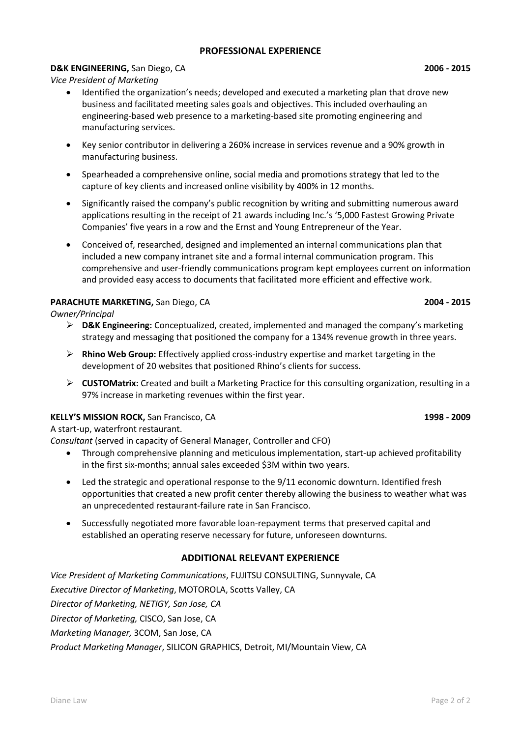## **PROFESSIONAL EXPERIENCE**

### **D&K ENGINEERING,** San Diego, CA **2006 - 2015**

*Vice President of Marketing*

- Identified the organization's needs; developed and executed a marketing plan that drove new business and facilitated meeting sales goals and objectives. This included overhauling an engineering-based web presence to a marketing-based site promoting engineering and manufacturing services.
- Key senior contributor in delivering a 260% increase in services revenue and a 90% growth in manufacturing business.
- Spearheaded a comprehensive online, social media and promotions strategy that led to the capture of key clients and increased online visibility by 400% in 12 months.
- Significantly raised the company's public recognition by writing and submitting numerous award applications resulting in the receipt of 21 awards including Inc.'s '5,000 Fastest Growing Private Companies' five years in a row and the Ernst and Young Entrepreneur of the Year.
- Conceived of, researched, designed and implemented an internal communications plan that included a new company intranet site and a formal internal communication program. This comprehensive and user-friendly communications program kept employees current on information and provided easy access to documents that facilitated more efficient and effective work.

#### **PARACHUTE MARKETING,** San Diego, CA **2004 - 2015**

*Owner/Principal*

- ➢ **D&K Engineering:** Conceptualized, created, implemented and managed the company's marketing strategy and messaging that positioned the company for a 134% revenue growth in three years.
- ➢ **Rhino Web Group:** Effectively applied cross-industry expertise and market targeting in the development of 20 websites that positioned Rhino's clients for success.
- ➢ **CUSTOMatrix:** Created and built a Marketing Practice for this consulting organization, resulting in a 97% increase in marketing revenues within the first year.

## **KELLY'S MISSION ROCK,** San Francisco, CA **1998 - 2009**

#### A start-up, waterfront restaurant.

*Consultant* (served in capacity of General Manager, Controller and CFO)

- Through comprehensive planning and meticulous implementation, start-up achieved profitability in the first six-months; annual sales exceeded \$3M within two years.
- Led the strategic and operational response to the 9/11 economic downturn. Identified fresh opportunities that created a new profit center thereby allowing the business to weather what was an unprecedented restaurant-failure rate in San Francisco.
- Successfully negotiated more favorable loan-repayment terms that preserved capital and established an operating reserve necessary for future, unforeseen downturns.

## **ADDITIONAL RELEVANT EXPERIENCE**

*Vice President of Marketing Communications*, FUJITSU CONSULTING, Sunnyvale, CA *Executive Director of Marketing*, MOTOROLA, Scotts Valley, CA *Director of Marketing, NETIGY, San Jose, CA Director of Marketing,* CISCO, San Jose, CA *Marketing Manager,* 3COM, San Jose, CA *Product Marketing Manager*, SILICON GRAPHICS, Detroit, MI/Mountain View, CA